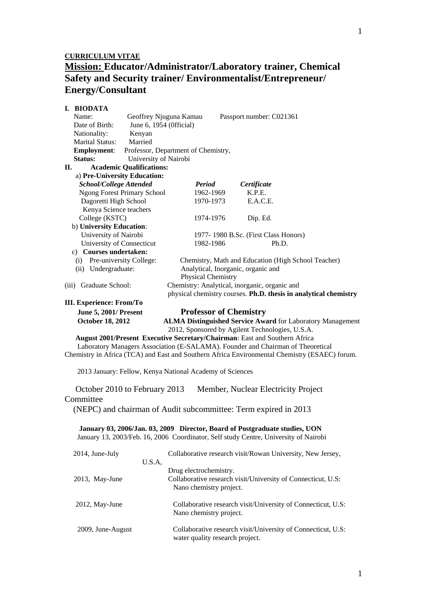# **Mission: Educator/Administrator/Laboratory trainer, Chemical Safety and Security trainer/ Environmentalist/Entrepreneur/ Energy/Consultant**

| I. BIODATA                                              |                                                                                               |
|---------------------------------------------------------|-----------------------------------------------------------------------------------------------|
| Name:                                                   | Geoffrey Njuguna Kamau<br>Passport number: C021361                                            |
| Date of Birth:                                          | June 6, 1954 (Official)                                                                       |
| Nationality:<br>Kenyan                                  |                                                                                               |
| Married<br><b>Marital Status:</b>                       |                                                                                               |
| <b>Employment:</b>                                      | Professor, Department of Chemistry,                                                           |
| University of Nairobi<br><b>Status:</b>                 |                                                                                               |
| <b>Academic Qualifications:</b><br>II.                  |                                                                                               |
| a) Pre-University Education:                            |                                                                                               |
| <b>School/College Attended</b>                          | Period<br>Certificate                                                                         |
| <b>Ngong Forest Primary School</b>                      | K.P.E.<br>1962-1969                                                                           |
| Dagoretti High School                                   | 1970-1973<br>E.A.C.E.                                                                         |
| Kenya Science teachers                                  |                                                                                               |
| College (KSTC)                                          | 1974-1976<br>Dip. Ed.                                                                         |
| b) University Education:                                |                                                                                               |
| University of Nairobi                                   | 1977-1980 B.Sc. (First Class Honors)                                                          |
| University of Connecticut                               | 1982-1986<br>Ph.D.                                                                            |
| c) Courses undertaken:                                  |                                                                                               |
| (i) Pre-university College:                             | Chemistry, Math and Education (High School Teacher)                                           |
| (ii) Undergraduate:                                     | Analytical, Inorganic, organic and<br>Physical Chemistry                                      |
| (iii) Graduate School:                                  | Chemistry: Analytical, inorganic, organic and                                                 |
|                                                         | physical chemistry courses. Ph.D. thesis in analytical chemistry                              |
| III. Experience: From/To                                |                                                                                               |
|                                                         | <b>Professor of Chemistry</b>                                                                 |
| <b>June 5, 2001/ Present</b><br><b>October 18, 2012</b> | <b>ALMA Distinguished Service Award for Laboratory Management</b>                             |
|                                                         | 2012, Sponsored by Agilent Technologies, U.S.A.                                               |
|                                                         | August 2001/Present Executive Secretary/Chairman: East and Southern Africa                    |
|                                                         | Laboratory Managers Association (E-SALAMA). Founder and Chairman of Theoretical               |
|                                                         | Chemistry in Africa (TCA) and East and Southern Africa Environmental Chemistry (ESAEC) forum. |
|                                                         |                                                                                               |
|                                                         | 2013 January: Fellow, Kenya National Academy of Sciences                                      |
|                                                         |                                                                                               |
| October 2010 to February 2013                           | Member, Nuclear Electricity Project                                                           |
|                                                         |                                                                                               |
| Committee                                               |                                                                                               |
|                                                         | (NEPC) and chairman of Audit subcommittee: Term expired in 2013                               |
|                                                         |                                                                                               |
|                                                         | January 03, 2006/Jan. 03, 2009 Director, Board of Postgraduate studies, UON                   |
|                                                         | January 13, 2003/Feb. 16, 2006 Coordinator, Self study Centre, University of Nairobi          |
|                                                         |                                                                                               |
| 2014, June-July                                         | Collaborative research visit/Rowan University, New Jersey,                                    |
| U.S.A,                                                  |                                                                                               |
|                                                         | Drug electrochemistry.                                                                        |
| 2013, May-June                                          | Collaborative research visit/University of Connecticut, U.S:                                  |
|                                                         | Nano chemistry project.                                                                       |
|                                                         |                                                                                               |
| 2012, May-June                                          | Collaborative research visit/University of Connecticut, U.S:                                  |
|                                                         | Nano chemistry project.                                                                       |
|                                                         |                                                                                               |
| 2009, June-August                                       | Collaborative research visit/University of Connecticut, U.S:                                  |
|                                                         | water quality research project.                                                               |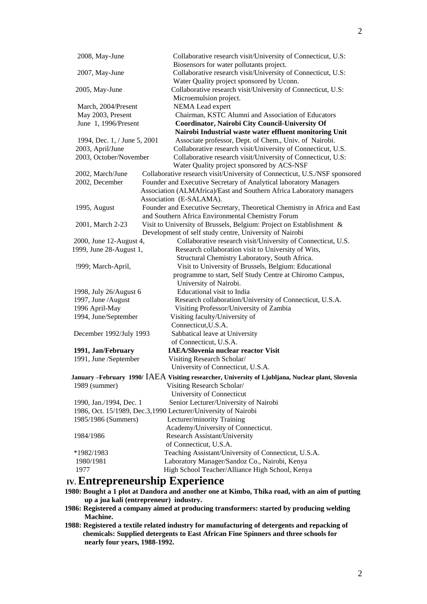| 2008, May-June               | Collaborative research visit/University of Connecticut, U.S:<br>Biosensors for water pollutants project. |
|------------------------------|----------------------------------------------------------------------------------------------------------|
| 2007, May-June               | Collaborative research visit/University of Connecticut, U.S:                                             |
|                              | Water Quality project sponsored by Uconn.                                                                |
| 2005, May-June               | Collaborative research visit/University of Connecticut, U.S:                                             |
|                              | Microemulsion project.                                                                                   |
| March, 2004/Present          | NEMA Lead expert                                                                                         |
| May 2003, Present            | Chairman, KSTC Alumni and Association of Educators                                                       |
| June 1, 1996/Present         | Coordinator, Nairobi City Council-University Of                                                          |
|                              | Nairobi Industrial waste water effluent monitoring Unit                                                  |
| 1994, Dec. 1, / June 5, 2001 | Associate professor, Dept. of Chem., Univ. of Nairobi.                                                   |
| 2003, April/June             | Collaborative research visit/University of Connecticut, U.S.                                             |
| 2003, October/November       | Collaborative research visit/University of Connecticut, U.S:                                             |
|                              | Water Quality project sponsored by ACS-NSF                                                               |
| 2002, March/June             | Collaborative research visit/University of Connecticut, U.S./NSF sponsored                               |
| 2002, December               | Founder and Executive Secretary of Analytical laboratory Managers                                        |
|                              | Association (ALMAfrica)/East and Southern Africa Laboratory managers                                     |
|                              | Association (E-SALAMA).                                                                                  |
| 1995, August                 | Founder and Executive Secretary, Theoretical Chemistry in Africa and East                                |
|                              | and Southern Africa Environmental Chemistry Forum                                                        |
| 2001, March 2-23             | Visit to University of Brussels, Belgium: Project on Establishment &                                     |
|                              | Development of self study centre, University of Nairobi                                                  |
| 2000, June 12-August 4,      | Collaborative research visit/University of Connecticut, U.S.                                             |
| 1999, June 28-August 1,      | Research collaboration visit to University of Wits,                                                      |
|                              | Structural Chemistry Laboratory, South Africa.                                                           |
| !999; March-April,           | Visit to University of Brussels, Belgium: Educational                                                    |
|                              | programme to start, Self Study Centre at Chiromo Campus,                                                 |
|                              | University of Nairobi.                                                                                   |
| 1998, July 26/August 6       | Educational visit to India                                                                               |
| 1997, June /August           | Research collaboration/University of Connecticut, U.S.A.                                                 |
| 1996 April-May               | Visiting Professor/University of Zambia                                                                  |
| 1994, June/September         | Visiting faculty/University of                                                                           |
|                              | Connecticut, U.S.A.                                                                                      |
| December 1992/July 1993      | Sabbatical leave at University                                                                           |
|                              | of Connecticut, U.S.A.                                                                                   |
| 1991, Jan/February           | <b>IAEA/Slovenia nuclear reactor Visit</b>                                                               |
| 1991, June /September        | Visiting Research Scholar/                                                                               |
|                              | University of Connecticut, U.S.A.                                                                        |
|                              | January -February 1990/ IAEA Visiting researcher, University of Ljubljana, Nuclear plant, Slovenia       |
| 1989 (summer)                | Visiting Research Scholar/                                                                               |
|                              | University of Connecticut                                                                                |
| 1990, Jan./1994, Dec. 1      | Senior Lecturer/University of Nairobi                                                                    |
|                              | 1986, Oct. 15/1989, Dec.3,1990 Lecturer/University of Nairobi                                            |
| 1985/1986 (Summers)          | Lecturer/minority Training                                                                               |
|                              | Academy/University of Connecticut.                                                                       |
| 1984/1986                    | Research Assistant/University                                                                            |
|                              | of Connecticut, U.S.A.                                                                                   |
| *1982/1983                   | Teaching Assistant/University of Connecticut, U.S.A.                                                     |
| 1980/1981                    | Laboratory Manager/Sandoz Co., Nairobi, Kenya                                                            |
| 1977                         | High School Teacher/Alliance High School, Kenya                                                          |
|                              |                                                                                                          |

# **IV. Entrepreneurship Experience**

- **1980: Bought a 1 plot at Dandora and another one at Kimbo, Thika road, with an aim of putting up a jua kali (entrepreneur) industry.**
- **1986: Registered a company aimed at producing transformers: started by producing welding Machine.**
- **1988: Registered a textile related industry for manufacturing of detergents and repacking of chemicals: Supplied detergents to East African Fine Spinners and three schools for nearly four years, 1988-1992.**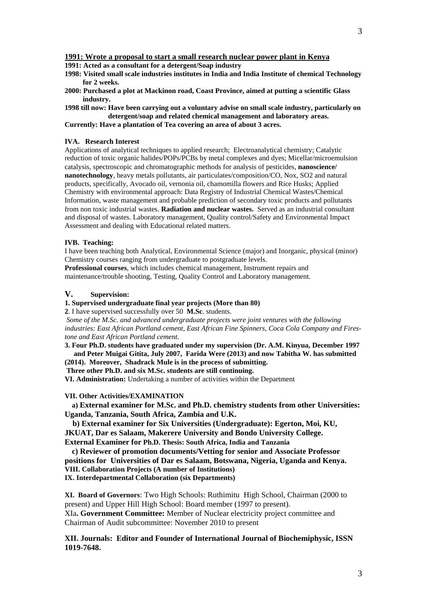**1991: Acted as a consultant for a detergent/Soap industry**

- **1998: Visited small scale industries institutes in India and India Institute of chemical Technology for 2 weeks.**
- **2000: Purchased a plot at Mackinon road, Coast Province, aimed at putting a scientific Glass industry.**
- **1998 till now: Have been carrying out a voluntary advise on small scale industry, particularly on detergent/soap and related chemical management and laboratory areas.**

**Currently: Have a plantation of Tea covering an area of about 3 acres.**

### **IVA. Research Interest**

Applications of analytical techniques to applied research; Electroanalytical chemistry; Catalytic reduction of toxic organic halides/POPs/PCBs by metal complexes and dyes; Micellar/microemulsion catalysis, spectroscopic and chromatographic methods for analysis of pesticides, **nanoscience/ nanotechnology**, heavy metals pollutants, air particulates/composition/CO, Nox, SO2 and natural products, specifically, Avocado oil, vernonia oil, chamomilla flowers and Rice Husks; Applied Chemistry with environmental approach: Data Registry of Industrial Chemical Wastes/Chemical Information, waste management and probable prediction of secondary toxic products and pollutants from non toxic industrial wastes. **Radiation and nuclear wastes.** Served as an industrial consultant and disposal of wastes. Laboratory management, Quality control/Safety and Environmental Impact Assessment and dealing with Educational related matters.

### **IVB. Teaching:**

I have been teaching both Analytical, Environmental Science (major) and Inorganic, physical (minor) Chemistry courses ranging from undergraduate to postgraduate levels.

**Professional courses**, which includes chemical management, Instrument repairs and maintenance/trouble shooting, Testing, Quality Control and Laboratory management.

## **V. Supervision:**

**1. Supervised undergraduate final year projects (More than 80)**

**2**. I have supervised successfully over 50 **M.Sc**. students.

*Some of the M.Sc. and advanced undergraduate projects were joint ventures with the following industries: East African Portland cement, East African Fine Spinners, Coca Cola Company and Firestone and East African Portland cement.*

**3. Four Ph.D. students have graduated under my supervision (Dr. A.M. Kinyua, December 1997 and Peter Muigai Gitita, July 2007, Farida Were (2013) and now Tabitha W. has submitted (2014). Moreover, Shadrack Mule is in the process of submitting.**

**Three other Ph.D. and six M.Sc. students are still continuing.**

**VI. Administration:** Undertaking a number of activities within the Department

#### **VII. Other Activities/EXAMINATION**

 **a) External examiner for M.Sc. and Ph.D. chemistry students from other Universities: Uganda, Tanzania, South Africa, Zambia and U.K.**

 **b) External examiner for Six Universities (Undergraduate): Egerton, Moi, KU, JKUAT, Dar es Salaam, Makerere University and Bondo University College. External Examiner for Ph.D. Thesis: South Africa, India and Tanzania**

 **c) Reviewer of promotion documents/Vetting for senior and Associate Professor** 

**positions for Universities of Dar es Salaam, Botswana, Nigeria, Uganda and Kenya. VIII. Collaboration Projects (A number of Institutions)**

**IX. Interdepartmental Collaboration (six Departments)**

**XI. Board of Governors**: Two High Schools: Ruthimitu High School, Chairman (2000 to present) and Upper Hill High School: Board member (1997 to present). XIa**. Government Committee:** Member of Nuclear electricity project committee and Chairman of Audit subcommittee: November 2010 to present

# **XII. Journals: Editor and Founder of International Journal of Biochemiphysic, ISSN 1019-7648.**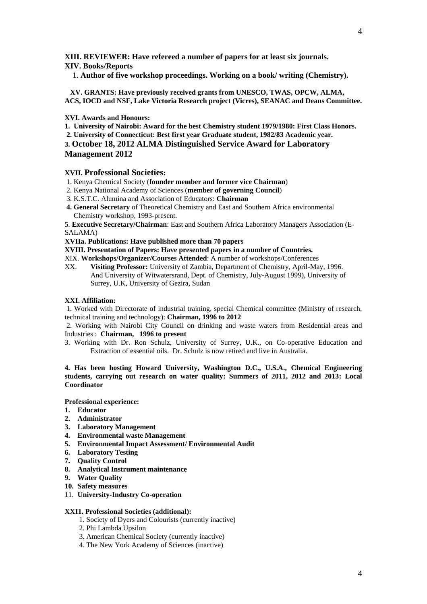**XIII. REVIEWER: Have refereed a number of papers for at least six journals. XIV. Books/Reports**

1. **Author of five workshop proceedings. Working on a book/ writing (Chemistry).**

 **XV. GRANTS: Have previously received grants from UNESCO, TWAS, OPCW, ALMA, ACS, IOCD and NSF, Lake Victoria Research project (Vicres), SEANAC and Deans Committee.**

## **XVI. Awards and Honours:**

**1. University of Nairobi: Award for the best Chemistry student 1979/1980: First Class Honors.**

**2. University of Connecticut: Best first year Graduate student, 1982/83 Academic year.**

**3. October 18, 2012 ALMA Distinguished Service Award for Laboratory Management 2012**

## **XVII. Professional Societies:**

- 1. Kenya Chemical Society (**founder member and former vice Chairman**)
- 2. Kenya National Academy of Sciences (**member of governing Council**)
- 3. K.S.T.C. Alumina and Association of Educators: **Chairman**
- **4. General Secretary** of Theoretical Chemistry and East and Southern Africa environmental Chemistry workshop, 1993-present.

5. **Executive Secretary/Chairman**: East and Southern Africa Laboratory Managers Association (E-SALAMA)

**XVIIa. Publications: Have published more than 70 papers**

**XVIII. Presentation of Papers: Have presented papers in a number of Countries.**

XIX. **Workshops/Organizer/Courses Attended**: A number of workshops/Conferences

XX. **Visiting Professor:** University of Zambia, Department of Chemistry, April-May, 1996. And University of Witwatersrand, Dept. of Chemistry, July-August 1999), University of Surrey, U.K, University of Gezira, Sudan

## **XXI. Affiliation:**

1. Worked with Directorate of industrial training, special Chemical committee (Ministry of research, technical training and technology): **Chairman, 1996 to 2012**

2. Working with Nairobi City Council on drinking and waste waters from Residential areas and Industries : **Chairman, 1996 to present**

3. Working with Dr. Ron Schulz, University of Surrey, U.K., on Co-operative Education and Extraction of essential oils. Dr. Schulz is now retired and live in Australia.

# **4. Has been hosting Howard University, Washington D.C., U.S.A., Chemical Engineering students, carrying out research on water quality: Summers of 2011, 2012 and 2013: Local Coordinator**

**Professional experience:**

- **1. Educator**
- **2. Administrator**
- **3. Laboratory Management**
- **4. Environmental waste Management**
- **5. Environmental Impact Assessment/ Environmental Audit**
- **6. Laboratory Testing**
- **7. Quality Control**
- **8. Analytical Instrument maintenance**
- **9. Water Quality**
- **10. Safety measures**
- 11. **University-Industry Co-operation**

## **XXI1. Professional Societies (additional):**

- 1. Society of Dyers and Colourists (currently inactive)
- 2. Phi Lambda Upsilon
- 3. American Chemical Society (currently inactive)
- 4. The New York Academy of Sciences (inactive)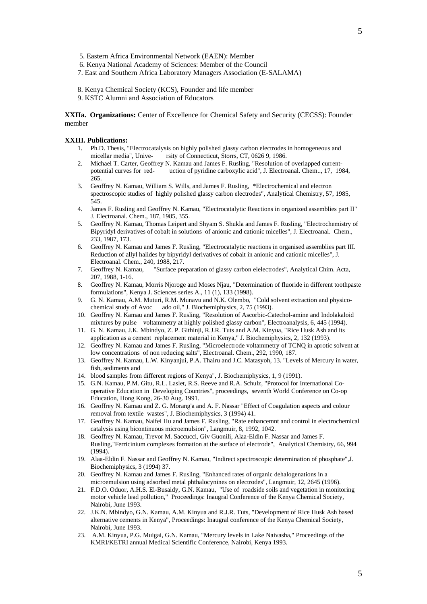- 5. Eastern Africa Environmental Network (EAEN): Member
- 6. Kenya National Academy of Sciences: Member of the Council
- 7. East and Southern Africa Laboratory Managers Association (E-SALAMA)
- 8. Kenya Chemical Society (KCS), Founder and life member
- 9. KSTC Alumni and Association of Educators

**XXIIa. Organizations:** Center of Excellence for Chemical Safety and Security (CECSS): Founder member

#### **XXIII. Publications:**

- 1. Ph.D. Thesis, "Electrocatalysis on highly polished glassy carbon electrodes in homogeneous and micellar media". Unive-<br>rsity of Connecticut. Storrs. CT. 0626 9. 1986. rsity of Connecticut, Storrs, CT, 0626 9, 1986.
- 2. Michael T. Carter, Geoffrey N. Kamau and James F. Rusling, "Resolution of overlapped currentpotential curves for red- uction of pyridine carboxylic acid", J. Electroanal. Chem.., 17, 1984, 265.
- 3. Geoffrey N. Kamau, William S. Wills, and James F. Rusling, \*Electrochemical and electron spectroscopic studies of highly polished glassy carbon electrodes", Analytical Chemistry, 57, 1985, 545.
- 4. James F. Rusling and Geoffrey N. Kamau, "Electrocatalytic Reactions in organized assemblies part II" J. Electroanal. Chem., 187, 1985, 355.
- 5. Geoffrey N. Kamau, Thomas Leipert and Shyam S. Shukla and James F. Rusling, "Electrochemistry of Bipyridyl derivatives of cobalt in solutions of anionic and cationic micelles", J. Electroanal. Chem., 233, 1987, 173.
- 6. Geoffrey N. Kamau and James F. Rusling, "Electrocatalytic reactions in organised assemblies part III. Reduction of allyl halides by bipyridyl derivatives of cobalt in anionic and cationic micelles", J. Electroanal. Chem., 240, 1988, 217.
- 7. Geoffrey N. Kamau, "Surface preparation of glassy carbon elelectrodes", Analytical Chim. Acta, 207, 1988, 1-16.
- 8. Geoffrey N. Kamau, Morris Njoroge and Moses Njau, "Determination of fluoride in different toothpaste formulations", Kenya J. Sciences series A., 11 (1), 133 (1998).
- 9. G. N. Kamau, A.M. Muturi, R.M. Munavu and N.K. Olembo, "Cold solvent extraction and physicochemical study of Avoc ado oil," J. Biochemiphysics, 2, 75 (1993).
- 10. Geoffrey N. Kamau and James F. Rusling, "Resolution of Ascorbic-Catechol-amine and Indolakaloid mixtures by pulse voltammetry at highly polished glassy carbon", Electroanalysis, 6, 445 (1994).
- 11. G. N. Kamau, J.K. Mbindyo, Z. P. Githinji, R.J.R. Tuts and A.M. Kinyua, "Rice Husk Ash and its application as a cement replacement material in Kenya," J. Biochemiphysics, 2, 132 (1993).
- 12. Geoffrey N. Kamau and James F. Rusling, "Microelectrode voltammetry of TCNQ in aprotic solvent at low concentrations of non reducing salts", Electroanal. Chem., 292, 1990, 187.
- 13. Geoffrey N. Kamau, L.W. Kinyanjui, P.A. Thairu and J.C. Matasyoh, 13. "Levels of Mercury in water, fish, sediments and
- 14. blood samples from different regions of Kenya", J. Biochemiphysics, 1, 9 (1991).
- 15. G.N. Kamau, P.M. Gitu, R.L. Laslet, R.S. Reeve and R.A. Schulz, "Protocol for International Cooperative Education in Developing Countries", proceedings, seventh World Conference on Co-op Education, Hong Kong, 26-30 Aug. 1991.
- 16. Geoffrey N. Kamau and Z. G. Morang'a and A. F. Nassar "Effect of Coagulation aspects and colour removal from textile wastes", J. Biochemiphysics, 3 (1994) 41.
- 17. Geoffrey N. Kamau, Naifei Hu and James F. Rusling, "Rate enhancemnt and control in electrochemical catalysis using bicontinuous microemulsion", Langmuir, 8, 1992, 1042.
- 18. Geoffrey N. Kamau, Trevor M. Saccucci, Giv Guonili, Alaa-Eldin F. Nassar and James F. Rusling,"Ferricinium complexes formation at the surface of electrode", Analytical Chemistry, 66, 994 (1994).
- 19. Alaa-Eldin F. Nassar and Geoffrey N. Kamau, "Indirect spectroscopic determination of phosphate",J. Biochemiphysics, 3 (1994) 37.
- 20. Geoffrey N. Kamau and James F. Rusling, "Enhanced rates of organic dehalogenations in a microemulsion using adsorbed metal phthalocynines on electrodes", Langmuir, 12, 2645 (1996).
- 21. F.D.O. Oduor, A.H.S. El-Busaidy, G.N. Kamau, "Use of roadside soils and vegetation in monitoring motor vehicle lead pollution," Proceedings: Inaugral Conference of the Kenya Chemical Society, Nairobi, June 1993.
- 22. J.K.N. Mbindyo, G.N. Kamau, A.M. Kinyua and R.J.R. Tuts, "Development of Rice Husk Ash based alternative cements in Kenya", Proceedings: Inaugral conference of the Kenya Chemical Society, Nairobi, June 1993.
- 23. A.M. Kinyua, P.G. Muigai, G.N. Kamau, "Mercury levels in Lake Naivasha," Proceedings of the KMRI/KETRI annual Medical Scientific Conference, Nairobi, Kenya 1993.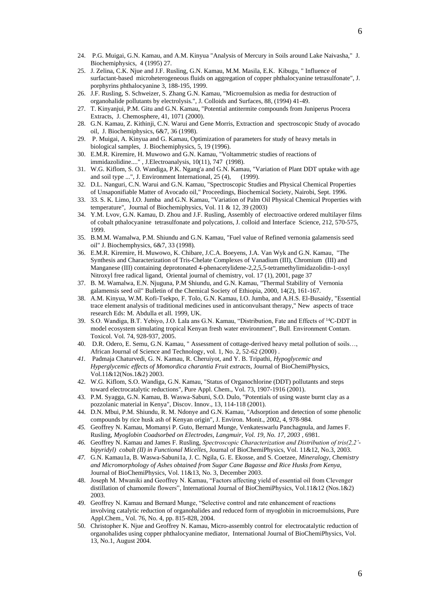- 24. P.G. Muigai, G.N. Kamau, and A.M. Kinyua "Analysis of Mercury in Soils around Lake Naivasha," J. Biochemiphysics, 4 (1995) 27.
- 25. J. Zelina, C.K. Njue and J.F. Rusling, G.N. Kamau, M.M. Masila, E.K. Kibugu, " Influence of surfactant-based microheterogeneous fluids on aggregation of copper phthalocyanine tetrasulfonate", J. porphyrins phthalocyanine 3, 188-195, 1999.
- 26. J.F. Rusling, S. Schweizer, S. Zhang G.N. Kamau, "Microemulsion as media for destruction of organohalide pollutants by electrolysis.", J. Colloids and Surfaces, 88, (1994) 41-49.
- 27. T. Kinyanjui, P.M. Gitu and G.N. Kamau, "Potential antitermite compounds from Juniperus Procera Extracts, J. Chemosphere, 41, 1071 (2000).
- 28. G.N. Kamau, Z. Kithinji, C.N. Warui and Gene Morris, Extraction and spectroscopic Study of avocado oil, J. Biochemiphysics, 6&7, 36 (1998).
- 29. P. Muigai, A. Kinyua and G. Kamau, Optimization of parameters for study of heavy metals in biological samples, J. Biochemiphysics, 5, 19 (1996).
- 30. E.M.R. Kiremire, H. Muwowo and G.N. Kamau, "Voltammetric studies of reactions of immidazolidine...." , J.Electroanalysis, 10(11), 747 (1998).
- 31. W.G. Kiflom, S. O. Wandiga, P.K. Ngang'a and G.N. Kamau, "Variation of Plant DDT uptake with age and soil type ...", J. Environment International, 25 (4), (1999).
- 32. D.L. Nanguri, C.N. Warui and G.N. Kamau, "Spectroscopic Studies and Physical Chemical Properties of Unsaponifiable Matter of Avocado oil," Proceedings, Biochemical Society, Nairobi, Sept. 1996.
- 33. 33. S. K. Limo, I.O. Jumba and G.N. Kamau, "Variation of Palm Oil Physical Chemical Properties with temperature", Journal of Biochemiphysics, Vol. 11 & 12, 39 (2003)
- 34. Y.M. Lvov, G.N. Kamau, D. Zhou and J.F. Rusling, Assembly of electroactive ordered multilayer films of cobalt pthalocyanine tetrasulfonate and polycations, J. colloid and Interface Science, 212, 570-575, 1999.
- 35. B.M.M. Wamalwa, P.M. Shiundu and G.N. Kamau, "Fuel value of Refined vernonia galamensis seed oil" J. Biochemphysics, 6&7, 33 (1998).
- 36. E.M.R. Kiremire, H. Muwowo, K. Chibare, J.C.A. Boeyens, J.A. Van Wyk and G.N. Kamau, "The Synthesis and Characterization of Tris-Chelate Complexes of Vanadium (III), Chromium (III) and Manganese (III) containing deprotonated 4-phenacetylidene-2,2,5,5-tetramethylimidazolidin-1-oxyl Nitroxyl free radical ligand, Oriental journal of chemistry, vol. 17 (1), 2001, page 37
- 37. B. M. Wamalwa, E.N. Njuguna, P.M Shiundu, and G.N. Kamau, "Thermal Stability of Vernonia galamensis seed oil" Bulletin of the Chemical Society of Ethiopia, 2000, 14(2), 161-167.
- 38. A.M. Kinyua, W.M. Kofi-Tsekpo, F. Tolo, G.N. Kamau, I.O. Jumba, and A.H.S. El-Busaidy, "Essential trace element analysis of traditional medicines used in anticonvulsant therapy," New aspects of trace research Eds: M. Abdulla et all. 1999, UK.
- 39. S.O. Wandiga, B.T. Yebiyo, J.O. Lala ans G.N. Kamau, "Distribution, Fate and Effects of <sup>14</sup>C-DDT in model ecosystem simulating tropical Kenyan fresh water environment", Bull. Environment Contam. Toxicol. Vol. 74, 928-937, 2005.
- 40. D.R. Odero, E. Semu, G.N. Kamau, " Assessment of cottage-derived heavy metal pollution of soils…, African Journal of Science and Technology, vol. 1, No. 2, 52-62 (2000) .
- *41.* Padmaja Chaturvedi, G. N. Kamau, R. Cheruiyot, and Y. B. Tripathi, *Hypoglycemic and Hyperglycemic effects of Momordica charantia Fruit extracts,* Journal of BioChemiPhysics, Vol.11&12(Nos.1&2) 2003.
- 42. W.G. Kiflom, S.O. Wandiga, G.N. Kamau, "Status of Organochlorine (DDT) pollutants and steps toward electrocatalytic reductions", Pure Appl. Chem., Vol. 73, 1907-1916 (2001).
- 43. P.M. Syagga, G.N. Kamau, B. Waswa-Sabuni, S.O. Dulo, "Potentials of using waste burnt clay as a pozzolanic material in Kenya", Discov. Innov., 13, 114-118 (2001).
- 44. D.N. Mbui, P.M. Shiundu, R. M. Ndonye and G.N. Kamau, "Adsorption and detection of some phenolic compounds by rice husk ash of Kenyan origin", J. Environ. Monit., 2002, 4, 978-984.
- *45.* Geoffrey N. Kamau, Momanyi P. Guto, Bernard Munge, Venkateswarlu Panchagnula, and James F. Rusling, *Myoglobin Coadsorbed on Electrodes, Langmuir, Vol. 19, No. 17, 2003 ,* 6981.
- *46.* Geoffrey N. Kamau and James F. Rusling, *Spectroscopic Characterization and Distribution of tris(2,2' bipyridyl) cobalt (II) in Functional Micelles*, Journal of BioChemiPhysics, Vol. 11&12, No.3, 2003.
- *47.* G.N. Kamau1a, B. Waswa-Sabuni1a, J. C. Ngila, G. E. Ekosse, and S. Coetzee, *Mineralogy, Chemistry and Micromorphology of Ashes obtained from Sugar Cane Bagasse and Rice Husks from Kenya,*  Journal of BioChemiPhysics, Vol. 11&13, No. 3, December 2003.
- 48. Joseph M. Mwaniki and Geoffrey N. Kamau, "Factors affecting yield of essential oil from Clevenger distillation of chamomile flowers", International Journal of BioChemiPhysics, Vol.11&12 (Nos.1&2) 2003.
- 49. Geoffrey N. Kamau and Bernard Munge, "Selective control and rate enhancement of reactions involving catalytic reduction of organohalides and reduced form of myoglobin in microemulsions, Pure Appl.Chem., Vol. 76, No. 4, pp. 815-828, 2004.
- 50. Christopher K. Njue and Geoffrey N. Kamau, Micro-assembly control for electrocatalytic reduction of organohalides using copper phthalocyanine mediator, International Journal of BioChemiPhysics, Vol. 13, No.1, August 2004.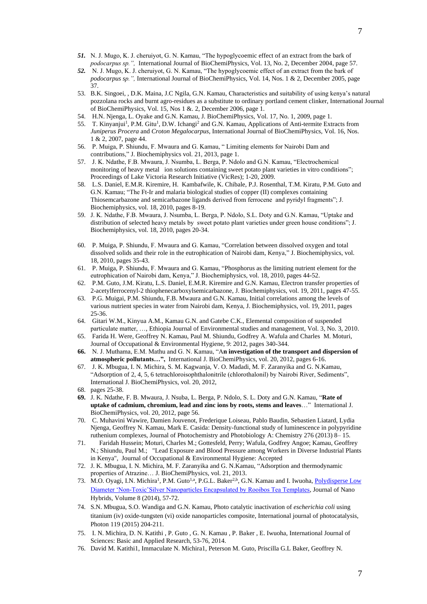- *51.* N. J. Mugo, K. J. cheruiyot, G. N. Kamau, "The hypoglycoemic effect of an extract from the bark of *podocarpus sp.",* International Journal of BioChemiPhysics, Vol. 13, No. 2, December 2004, page 57.
- *52.* N. J. Mugo, K. J. cheruiyot, G. N. Kamau, "The hypoglycoemic effect of an extract from the bark of *podocarpus sp.",* International Journal of BioChemiPhysics, Vol. 14, Nos. 1 & 2, December 2005, page 37.
- 53. B.K. Singoei, , D.K. Maina, J.C Ngila, G.N. Kamau, Characteristics and suitability of using kenya's natural pozzolana rocks and burnt agro-residues as a substitute to ordinary portland cement clinker, International Journal of BioChemiPhysics, Vol. 15, Nos 1 &. 2, December 2006, page 1.
- 54. H.N. Njenga, L. Oyake and G.N. Kamau, J. BioChemiPhysics, Vol. 17, No. 1, 2009, page 1.
- 55. T. Kinyanjui<sup>1</sup>, P.M. Gitu<sup>1</sup>, D.W. Ichangi<sup>2</sup> and G.N. Kamau, Applications of Anti-termite Extracts from *Juniperus Procera* and *Croton Megalocarpus,* International Journal of BioChemiPhysics, Vol. 16, Nos. 1 & 2, 2007, page 44.
- 56. P. Muiga, P. Shiundu, F. Mwaura and G. Kamau, " Limiting elements for Nairobi Dam and contributions," J. Biochemiphysics vol. 21, 2013, page 1.
- 57. J. K. Ndathe, F.B. Mwaura, J. Nsumba, L. Berga, P. Ndolo and G.N. Kamau, "Electrochemical monitoring of heavy metal ion solutions containing sweet potato plant varieties in vitro conditions"; Proceedings of Lake Victoria Research Initiative (VicRes); 1-20, 2009.
- 58. L.S. Daniel, E.M.R. Kiremire, H. Kambafwile, K. Chibale, P.J. Rosenthal, T.M. Kiratu, P.M. Guto and G.N. Kamau; "The Ft-Ir and malaria biological studies of copper (II) complexes containing Thiosemcarbazone and semicarbazone ligands derived from ferrocene and pyridyl fragments"; J. Biochemiphysics, vol. 18, 2010, pages 8-19.
- 59. J. K. Ndathe, F.B. Mwaura, J. Nsumba, L. Berga, P. Ndolo, S.L. Doty and G.N. Kamau, "Uptake and distribution of selected heavy metals by sweet potato plant varieties under green house conditions"; J. Biochemiphysics, vol. 18, 2010, pages 20-34.
- 60. P. Muiga, P. Shiundu, F. Mwaura and G. Kamau, "Correlation between dissolved oxygen and total dissolved solids and their role in the eutrophication of Nairobi dam, Kenya," J. Biochemiphysics, vol. 18, 2010, pages 35-43.
- 61. P. Muiga, P. Shiundu, F. Mwaura and G. Kamau, "Phosphorus as the limiting nutrient element for the eutrophication of Nairobi dam, Kenya," J. Biochemiphysics, vol. 18, 2010, pages 44-52.
- 62. P.M. Guto, J.M. Kiratu, L.S. Daniel, E.M.R. Kiremire and G.N. Kamau, Electron transfer properties of 2-acetylferrocenyl-2 thiophenecarboxylsemicarbazone, J. Biochemiphysics, vol. 19, 2011, pages 47-55.
- 63. P.G. Muigai, P.M. Shiundu, F.B. Mwaura and G.N. Kamau, Initial correlations among the levels of various nutrient species in water from Nairobi dam, Kenya, J. Biochemiphysics, vol. 19, 2011, pages 25-36.
- 64. Gitari W.M., Kinyua A.M., Kamau G.N. and Gatebe C.K., Elemental composition of suspended particulate matter, …, Ethiopia Journal of Environmental studies and management, Vol. 3, No. 3, 2010.
- 65. Farida H. Were, Geoffrey N. Kamau, Paul M. Shiundu, Godfrey A. Wafula and Charles M. Moturi, Journal of Occupational & Environmental Hygiene, 9: 2012, pages 340-344.
- **66.** N. J. Muthama, E.M. Mathu and G. N. Kamau, "A**n investigation of the transport and dispersion of atmospheric pollutants…",** International J. BioChemiPhysics, vol. 20, 2012, pages 6-16.
- 67. J. K. Mbugua, I. N. Michira, S. M. Kagwanja, V. O. Madadi, M. F. Zaranyika and G. N.Kamau, "Adsorption of 2, 4, 5, 6 tetrachloroisophthalonitrile (chlorothalonil) by Nairobi River, Sediments", International J. BioChemiPhysics, vol. 20, 2012,
- 68. pages 25-38.
- **69.** J. K. Ndathe, F. B. Mwaura, J. Nsuba, L. Berga, P. Ndolo, S. L. Doty and G.N. Kamau, "**Rate of uptake of cadmium, chromium, lead and zinc ions by roots, stems and leaves**…"International J. BioChemiPhysics, vol. 20, 2012, page 56.
- 70. C. Muhavini Wawire, Damien Jouvenot, Frederique Loiseau, Pablo Baudin, Sebastien Liatard, Lydia Njenga, Geoffrey N. Kamau, Mark E. Casida: Density-functional study of luminescence in polypyridine ruthenium complexes, Journal of Photochemistry and Photobiology A: Chemistry 276 (2013) 8– 15.
- 71. Faridah Hussein; Moturi, Charles M.; Gottesfeld, Perry; Wafula, Godfrey Angoe; Kamau, Geoffrey N.; Shiundu, Paul M.; "Lead Exposure and Blood Pressure among Workers in Diverse Industrial Plants in Kenya", Journal of Occupational & Environmental Hygiene: Accepted
- 72. J. K. Mbugua, I. N. Michira, M. F. Zaranyika and G. N.Kamau, "Adsorption and thermodynamic properties of Atrazine… J. BioChemiPhysics, vol. 21, 2013.
- 73. M.O. Oyagi, I.N. Michira<sup>1</sup>, P.M. Guto<sup>1,a</sup>, P.G.L. Baker<sup>2,b</sup>, G.N. Kamau and I. Iwuoha, Polydisperse Low [Diameter 'Non-Toxic'Silver Nanoparticles Encapsulated by Rooibos Tea Templates,](http://scholar.google.com/scholar?oi=bibs&cluster=14104505153555072533&btnI=1&hl=en) Journal of Nano Hybrids, Volume 8 (2014), 57-72.
- 74. S.N. Mbugua, S.O. Wandiga and G.N. Kamau, Photo catalytic inactivation of *escherichia coli* using titanium (iv) oxide-tungsten (vi) oxide nanoparticles composite, International journal of photocatalysis, Photon 119 (2015) 204-211.
- 75. I. N. Michira, D. N. Katithi , P. Guto , G. N. Kamau , P. Baker , E. Iwuoha, International Journal of Sciences: Basic and Applied Research, 53-76, 2014.
- 76. David M. Katithi1, Immaculate N. Michira1, Peterson M. Guto, Priscilla G.L Baker, Geoffrey N.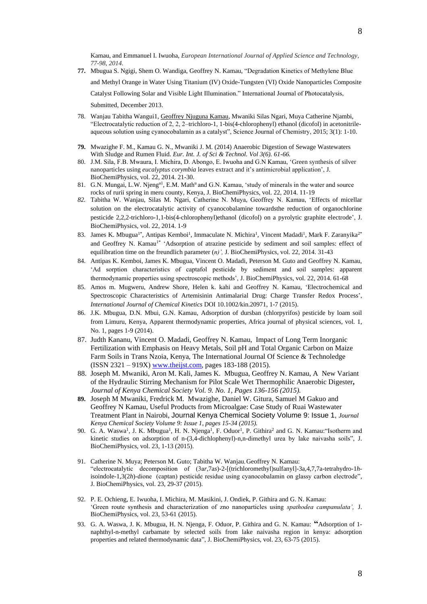- **77.** Mbugua S. Ngigi, Shem O. Wandiga, Geoffrey N. Kamau, "Degradation Kinetics of Methylene Blue and Methyl Orange in Water Using Titanium (IV) Oxide-Tungsten (VI) Oxide Nanoparticles Composite Catalyst Following Solar and Visible Light Illumination." International Journal of Photocatalysis, Submitted, December 2013.
- 78. Wanjau Tabitha Wangui1, Geoffrey Njuguna Kamau, Mwaniki Silas Ngari, Muya Catherine Njambi, "Electrocatalytic reduction of 2, 2, 2–trichloro-1, 1-bis(4-chlorophenyl) ethanol (dicofol) in acetonitrileaqueous solution using cyanocobalamin as a catalyst", Science Journal of Chemistry, 2015; 3(1): 1-10.
- **79.** Mwazighe F. M., Kamau G. N., Mwaniki J. M. (2014) Anaerobic Digestion of Sewage Wastewaters With Sludge and Rumen Fluid. *Eur. Int. J. of Sci & Technol. Vol 3(6). 61-66.*
- 80. J.M. Sila, F.B. Mwaura, I. Michira, D. Abongo, E. Iwuoha and G.N Kamau, 'Green synthesis of silver nanoparticles using *eucalyptus corymbia* leaves extract and it's antimicrobial application', J. BioChemiPhysics, vol. 22, 2014. 21-30.
- 81. G.N. Mungai, L.W. Njeng<sup>a1</sup>, E.M. Math<sup>u</sup> and G.N. Kamau, 'study of minerals in the water and source rocks of rurii spring in meru county, Kenya, J. BioChemiPhysics, vol. 22, 2014. 11-19
- *82.* Tabitha W. Wanjau, Silas M. Ngari, Catherine N. Muya, Geoffrey N. Kamau, 'Effects of micellar solution on the electrocatalytic activity of cyanocobalamine towardsthe reduction of organochlorine pesticide 2,2,2-trichloro-1,1-bis(4-chlorophenyl)ethanol (dicofol) on a pyrolytic graphite electrode', J. BioChemiPhysics, vol. 22, 2014. 1-9
- 83. James K. Mbugua<sup>1\*</sup>, Antipas Kemboi<sup>1</sup>, Immaculate N. Michira<sup>1</sup>, Vincent Madadi<sup>1</sup>, Mark F. Zaranyika<sup>2\*</sup> and Geoffrey N. Kamau<sup>1\*</sup> 'Adsorption of atrazine pesticide by sediment and soil samples: effect of equilibration time on the freundlich parameter (*n)',* J. BioChemiPhysics, vol. 22, 2014. 31-43
- 84. Antipas K. Kemboi, James K. Mbugua, Vincent O. Madadi, Peterson M. Guto and Geoffrey N. Kamau, 'Ad sorption characteristics of captafol pesticide by sediment and soil samples: apparent thermodynamic properties using spectroscopic methods', J. BioChemiPhysics, vol. 22, 2014. 61-68
- 85. Amos m. Mugweru, Andrew Shore, Helen k. kahi and Geoffrey N. Kamau, 'Electrochemical and Spectroscopic Characteristics of Artemisinin Antimalarial Drug: Charge Transfer Redox Process', *International Journal of Chemical Kinetics* DOI 10.1002/kin.20971, 1-7 (2015).
- 86. J.K. Mbugua, D.N. Mbui, G.N. Kamau, Adsorption of dursban (chlorpyrifos) pesticide by loam soil from Limuru, Kenya, Apparent thermodynamic properties, Africa journal of physical sciences, vol. 1, No. 1, pages 1-9 (2014).
- 87. Judth Kananu, Vincent O. Madadi, Geoffrey N. Kamau, Impact of Long Term Inorganic Fertilization with Emphasis on Heavy Metals, Soil pH and Total Organic Carbon on Maize Farm Soils in Trans Nzoia, Kenya, The International Journal Of Science & Technoledge (ISSN 2321 – 919X) [www.theijst.com,](http://www.theijst.com/) pages 183-188 (2015).
- 88. Joseph M. Mwaniki, Aron M. Kali, James K. Mbugua, Geoffrey N. Kamau, A New Variant of the Hydraulic Stirring Mechanism for Pilot Scale Wet Thermophilic Anaerobic Digester**,**  *Journal of Kenya Chemical Society Vol. 9. No. 1, Pages 136-156 (2015).*
- **89.** Joseph M Mwaniki, Fredrick M. Mwazighe, Daniel W. Gitura, Samuel M Gakuo and Geoffrey N Kamau, Useful Products from Microalgae: Case Study of Ruai Wastewater Treatment Plant in Nairobi, Journal Kenya Chemical Society Volume 9: Issue 1, *Journal Kenya Chemical Society Volume 9: Issue 1, pages 15-34 (2015).*
- 90. G. A. Waswa<sup>1</sup>, J. K. Mbugua<sup>1</sup>, H. N. Njenga<sup>1</sup>, F. Oduor<sup>1</sup>, P. Githira<sup>2</sup> and G. N. Kamau: "Isotherm and kinetic studies on adsorption of n-(3,4-dichlophenyl)-n,n-dimethyl urea by lake naivasha soils", J. BioChemiPhysics, vol. 23, 1-13 (2015).
- 91. Catherine N. Muya; Peterson M. Guto; Tabitha W. Wanjau, Geoffrey N. Kamau: "electrocatalytic decomposition of (3a*r*,7a*s*)-2-[(trichloromethyl)sulfanyl]-3a,4,7,7a-tetrahydro-1*h*isoindole-1,3(2*h*)-dione (captan) pesticide residue using cyanocobalamin on glassy carbon electrode", J. BioChemiPhysics, vol. 23, 29-37 (2015).
- 92. P. E. Ochieng, E. Iwuoha, I. Michira, M. Masikini, J. Ondiek, P. Githira and G. N. Kamau: 'Green route synthesis and characterization of zno nanoparticles using *spathodea campanulata',* J. BioChemiPhysics, vol. 23, 53-61 (2015).
- 93. G. A. Waswa, J. K. Mbugua, H. N. Njenga, F. Oduor, P. Githira and G. N. Kamau: **"**Adsorption of 1 naphthyl-n-methyl carbamate by selected soils from lake naivasha region in kenya: adsorption properties and related thermodynamic data", J. BioChemiPhysics, vol. 23, 63-75 (2015).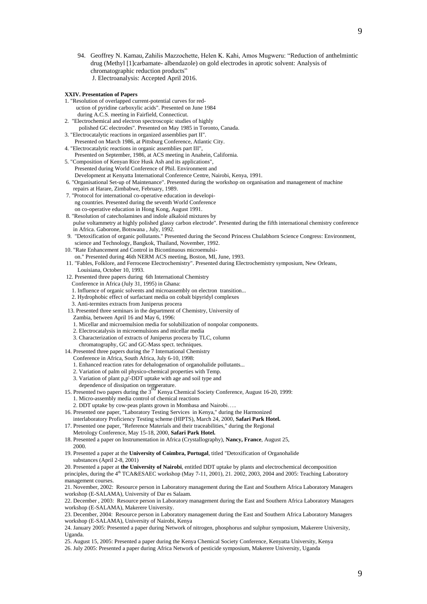94. Geoffrey N. Kamau, Zahilis Mazzochette, Helen K. Kahi, Amos Mugweru: "Reduction of anthelmintic drug (Methyl [1]carbamate- albendazole) on gold electrodes in aprotic solvent: Analysis of chromatographic reduction products" J. Electroanalysis: Accepted April 2016.

#### **XXIV. Presentation of Papers**

- 1. "Resolution of overlapped current-potential curves for red uction of pyridine carboxylic acids". Presented on June 1984
	- during A.C.S. meeting in Fairfield, Connecticut.
- 2. "Electrochemical and electron spectroscopic studies of highly polished GC electrodes". Presented on May 1985 in Toronto, Canada.
- 3. "Electrocatalytic reactions in organized assemblies part II".
- Presented on March 1986, at Pittsburg Conference, Atlantic City. 4. "Electrocatalytic reactions in organic assemblies part III",
- Presented on September, 1986, at ACS meeting in Anahein, California. 5. "Composition of Kenyan Rice Husk Ash and its applications",
- Presented during World Conference of Phil. Environment and Development at Kenyatta International Conference Centre, Nairobi, Kenya, 1991.
- 6. "Organisational Set-up of Maintenance". Presented during the workshop on organisation and management of machine repairs at Harare, Zimbabwe, February, 1989.
- 7. "Protocol for international co-operative education in developi ng countries. Presented during the seventh World Conference on co-operative education in Hong Kong, August 1991.
- 8. "Resolution of catecholamines and indole alkaloid mixtures by pulse voltammetry at highly polished glassy carbon electrode". Presented during the fifth international chemistry conference in Africa. Gaborone, Botswana , July, 1992.
- 9. "Detoxification of organic pollutants." Presented during the Second Princess Chulabhorn Science Congress: Environment, science and Technology, Bangkok, Thailand, November, 1992.
- 10. "Rate Enhancement and Control in Bicontinuous microemulsi-
- on." Presented during 46th NERM ACS meeting, Boston, MI, June, 1993.
- 11. "Fables, Folklore, and Ferrocene Electrochemistry". Presented during Electrochemistry symposium, New Orleans, Louisiana, October 10, 1993.
- 12. Presented three papers during 6th International Chemistry
- Conference in Africa (July 31, 1995) in Ghana:
- 1. Influence of organic solvents and microassembly on electron transition...
- 2. Hydrophobic effect of surfactant media on cobalt bipyridyl complexes
- 3. Anti-termites extracts from Juniperus procera
- 13. Presented three seminars in the department of Chemistry, University of
- Zambia, between April 16 and May 6, 1996:
- 1. Micellar and microemulsion media for solubilization of nonpolar components.
- 2. Electrocatalysis in microemulsions and micellar media
- 3. Characterization of extracts of Juniperus procera by TLC, column
- chromatography, GC and GC-Mass spect. techniques.
- 14. Presented three papers during the 7 International Chemistry
	- Conference in Africa, South Africa, July 6-10, 1998: 1. Enhanced reaction rates for dehalogenation of organohalide pollutants...
	-
	- 2. Variation of palm oil physico-chemical properties with Temp. 3. Variation of plant p,p'-DDT uptake with age and soil type and
	-
- dependence of dissipation on temperature.<br>15. Presented two papers during the 3<sup>rd</sup> Kenya Chemical Society Conference, August 16-20, 1999: 1. Micro-assembly media control of chemical reactions
	- 2. DDT uptake by cow-peas plants grown in Mombasa and Nairobi…..
- 16. Presented one paper, "Laboratory Testing Services in Kenya," during the Harmonized
- interlaboratory Proficiency Testing scheme (HIPTS), March 24, 2000, **Safari Park Hotel.** 17. Presented one paper, "Reference Materials and their traceabilities," during the Regional
- Metrology Conference, May 15-18, 2000, **Safari Park Hotel.**
- 18. Presented a paper on Instrumentation in Africa (Crystallography), **Nancy, France**, August 25, 2000.
- 19. Presented a paper at the **University of Coimbra, Portugal**, titled "Detoxification of Organohalide substances (April 2-8, 2001)

20. Presented a paper at **the University of Nairobi**, entitled DDT uptake by plants and electrochemical decomposition principles, during the 4<sup>th</sup> TCA&ESAEC workshop (May 7-11, 2001), 21. 2002, 2003, 2004 and 2005: Teaching Laboratory management courses.

21. November, 2002: Resource person in Laboratory management during the East and Southern Africa Laboratory Managers workshop (E-SALAMA), University of Dar es Salaam.

22. December , 2003: Resource person in Laboratory management during the East and Southern Africa Laboratory Managers workshop (E-SALAMA), Makerere University.

23. December, 2004: Resource person in Laboratory management during the East and Southern Africa Laboratory Managers workshop (E-SALAMA), University of Nairobi, Kenya

24. January 2005: Presented a paper during Network of nitrogen, phosphorus and sulphur symposium, Makerere University, Uganda.

25. August 15, 2005: Presented a paper during the Kenya Chemical Society Conference, Kenyatta University, Kenya 26. July 2005: Presented a paper during Africa Network of pesticide symposium, Makerere University, Uganda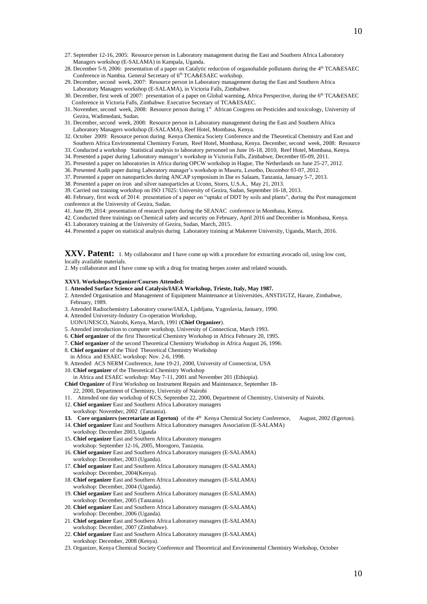- 27. September 12-16, 2005: Resource person in Laboratory management during the East and Southern Africa Laboratory Managers workshop (E-SALAMA) in Kampala, Uganda.
- 28. December 5-9, 2006: presentation of a paper on Catalytic reduction of organohalide pollutants during the 4<sup>th</sup> TCA&ESAEC Conference in Nambia. General Secretary of 6<sup>th</sup> TCA&ESAEC workshop.
- 29. December, second week, 2007: Resource person in Laboratory management during the East and Southern Africa Laboratory Managers workshop (E-SALAMA), in Victoria Falls, Zimbabwe.
- 30. December, first week of 2007: presentation of a paper on Global warming, Africa Perspective, during the 6<sup>th</sup> TCA&ESAEC Conference in Victoria Falls, Zimbabwe. Executive Secretary of TCA&ESAEC.
- 31. November, second week, 2008: Resource person during 1st African Congress on Pesticides and toxicology, University of Gezira, Wadimedani, Sudan.
- 31. December, second week, 2008: Resource person in Laboratory management during the East and Southern Africa Laboratory Managers workshop (E-SALAMA), Reef Hotel, Mombasa, Kenya.
- 32. October 2009: Resource person during Kenya Chemica Society Conference and the Theoretical Chemistry and East and Southern Africa Environmental Chemistry Forum, Reef Hotel, Mombasa, Kenya. December, second week, 2008: Resource
- 33. Conducted a workshop Statistical analysis to laboratory personnel on June 16-18, 2010, Reef Hotel, Mombasa, Kenya.
- 34. Presented a paper during Laboratory manager's workshop in Victoria Falls, Zimbabwe, December 05-09, 2011.
- 35. Presented a paper on laboratories in Africa during OPCW workshop in Hague, The Netherlands on June 25-27, 2012.
- 36. Presented Audit paper during Laboratory manager's workshop in Maseru, Lesotho, December 03-07, 2012.
- 37. Presented a paper on nanoparticles during ANCAP symposium in Dar es Salaam, Tanzania, January 5-7, 2013.
- 38. Presented a paper on iron and silver nanoparticles at Uconn, Storrs, U.S.A., May 21, 2013.
- 39. Carried out training workshop on ISO 17025: University of Gezira, Sudan, September 16-18, 2013.
- 40. February, first week of 2014: presentation of a paper on "uptake of DDT by soils and plants", during the Pest management conference at the University of Gezira, Sudan.
- 41. June 09, 2014: presentation of research paper during the SEANAC conference in Mombasa, Kenya.
- 42. Conducted three trainings on Chemical safety and security on February, April 2016 and December in Mombasa, Kenya.
- 43. Laboratory training at the University of Gezira, Sudan, March, 2015.
- 44. Presented a paper on statistical analysis during Laboratory training at Makerere University, Uganda, March, 2016.

**XXV. Patent:** 1. My collaborator and I have come up with a procedure for extracting avocado oil, using low cost,

locally available materials.

2. My collaborator and I have come up with a drug for treating herpes zoster and related wounds.

#### **XXVI. Workshops/Organizer/Courses Attended:**

- 1. **Attended Surface Science and Catalysis/IAEA Workshop, Trieste, Italy, May 1987.**
- 2. Attended Organisation and Management of Equipment Maintenance at Universities, ANSTI/GTZ, Harare, Zimbabwe, February, 1989.
- 3. Attended Radiochemistry Laboratory course/IAEA, Ljubljana, Yugoslavia, January, 1990.
- 4. Attended University-Industry Co-operation Workshop,
- UON/UNESCO, Nairobi, Kenya, March, 1991 (**Chief Organizer**).
- 5. Attended introduction to computer workshop, University of Connecticut, March 1993.
- 6. **Chief organizer** of the first Theoretical Chemistry Workshop in Africa February 20, 1995.
- 7. **Chief organizer** of the second Theoretical Chemistry Workshop in Africa August 26, 1996.
- 8. **Chief organizer** of the Third Theoretical Chemistry Workshop
- in Africa and ESAEC workshop: Nov. 2-6, 1998.

workshop: December, 2003 (Uganda).

workshop: December, 2004(Kenya).

workshop: December, 2004 (Uganda).

workshop: December, 2005 (Tanzania).

workshop: December, 2006 (Uganda).

- 9. Attended ACS NERM Conference, June 19-21, 2000, University of Connecticut, USA
- 10. **Chief organizer** of the Theoretical Chemistry Workshop
- in Africa and ESAEC workshop: May 7-11, 2001 and November 201 (Ethiopia).

**Chief Organizer** of First Workshop on Instrument Repairs and Maintenance, September 18-

- 22, 2000, Department of Chemistry, University of Nairobi
- 11. Attended one day workshop of KCS, September 22, 2000, Department of Chemistry, University of Nairobi.
- 12. **Chief organizer** East and Southern Africa Laboratory managers workshop: November, 2002 (Tanzania).

15. **Chief organizer** East and Southern Africa Laboratory managers workshop: September 12-16, 2005, Morogoro, Tanzania.

- **13.** Core organizers (secretariate at Egerton) of the 4<sup>th</sup> Kenya Chemical Society Conference, August, 2002 (Egerton).
- 14. **Chief organizer** East and Southern Africa Laboratory managers Association (E-SALAMA) workshop: December 2003, Uganda

10

- 
- 21. **Chief organizer** East and Southern Africa Laboratory managers (E-SALAMA) workshop: December, 2007 (Zimbabwe). 22. **Chief organizer** East and Southern Africa Laboratory managers (E-SALAMA) workshop: December, 2008 (Kenya).

16. **Chief organizer** East and Southern Africa Laboratory managers (E-SALAMA)

17. **Chief organizer** East and Southern Africa Laboratory managers (E-SALAMA)

18. **Chief organizer** East and Southern Africa Laboratory managers (E-SALAMA)

19. **Chief organizer** East and Southern Africa Laboratory managers (E-SALAMA)

20. **Chief organizer** East and Southern Africa Laboratory managers (E-SALAMA)

23. Organizer, Kenya Chemical Society Conference and Theoretical and Environmental Chemistry Workshop, October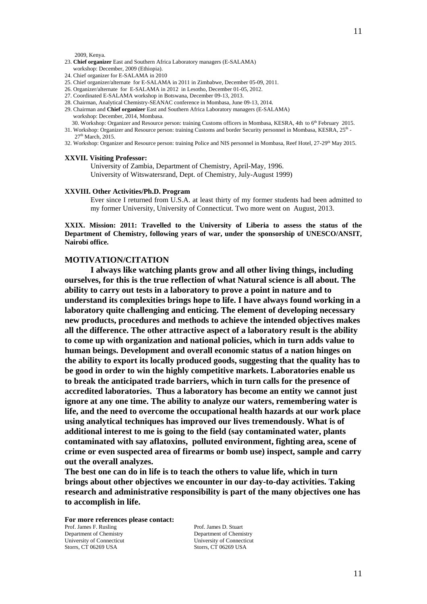2009, Kenya.

- 23. **Chief organizer** East and Southern Africa Laboratory managers (E-SALAMA) workshop: December, 2009 (Ethiopia).
- 24. Chief organizer for E-SALAMA in 2010
- 25. Chief organizer/alternate for E-SALAMA in 2011 in Zimbabwe, December 05-09, 2011.
- 26. Organizer/alternate for E-SALAMA in 2012 in Lesotho, December 01-05, 2012.
- 27. Coordinated E-SALAMA workshop in Botswana, December 09-13, 2013.
- 28. Chairman, Analytical Chemistry-SEANAC conference in Mombasa, June 09-13, 2014.
- 29. Chairman and **Chief organizer** East and Southern Africa Laboratory managers (E-SALAMA) workshop: December, 2014, Mombasa.
- 30. Workshop: Organizer and Resource person: training Customs officers in Mombasa, KESRA, 4th to 6<sup>th</sup> February 2015. 31. Workshop: Organizer and Resource person: training Customs and border Security personnel in Mombasa, KESRA, 25<sup>th</sup> -27<sup>th</sup> March, 2015.
- 32. Workshop: Organizer and Resource person: training Police and NIS personnel in Mombasa, Reef Hotel, 27-29<sup>th</sup> May 2015.

#### **XXVII. Visiting Professor:**

University of Zambia, Department of Chemistry, April-May, 1996. University of Witswatersrand, Dept. of Chemistry, July-August 1999)

#### **XXVIII. Other Activities/Ph.D. Program**

Ever since I returned from U.S.A. at least thirty of my former students had been admitted to my former University, University of Connecticut. Two more went on August, 2013.

**XXIX. Mission: 2011: Travelled to the University of Liberia to assess the status of the Department of Chemistry, following years of war, under the sponsorship of UNESCO/ANSIT, Nairobi office.**

## **MOTIVATION/CITATION**

**I always like watching plants grow and all other living things, including ourselves, for this is the true reflection of what Natural science is all about. The ability to carry out tests in a laboratory to prove a point in nature and to understand its complexities brings hope to life. I have always found working in a laboratory quite challenging and enticing. The element of developing necessary new products, procedures and methods to achieve the intended objectives makes all the difference. The other attractive aspect of a laboratory result is the ability to come up with organization and national policies, which in turn adds value to human beings. Development and overall economic status of a nation hinges on the ability to export its locally produced goods, suggesting that the quality has to be good in order to win the highly competitive markets. Laboratories enable us to break the anticipated trade barriers, which in turn calls for the presence of accredited laboratories. Thus a laboratory has become an entity we cannot just ignore at any one time. The ability to analyze our waters, remembering water is life, and the need to overcome the occupational health hazards at our work place using analytical techniques has improved our lives tremendously. What is of additional interest to me is going to the field (say contaminated water, plants contaminated with say aflatoxins, polluted environment, fighting area, scene of crime or even suspected area of firearms or bomb use) inspect, sample and carry out the overall analyzes.** 

**The best one can do in life is to teach the others to value life, which in turn brings about other objectives we encounter in our day-to-day activities. Taking research and administrative responsibility is part of the many objectives one has to accomplish in life.**

**For more references please contact:** Prof. James F. Rusling Prof. James D. Stuart Department of Chemistry Department of Chemistry University of Connecticut University of Connecticut Storrs, CT 06269 USA Storrs, CT 06269 USA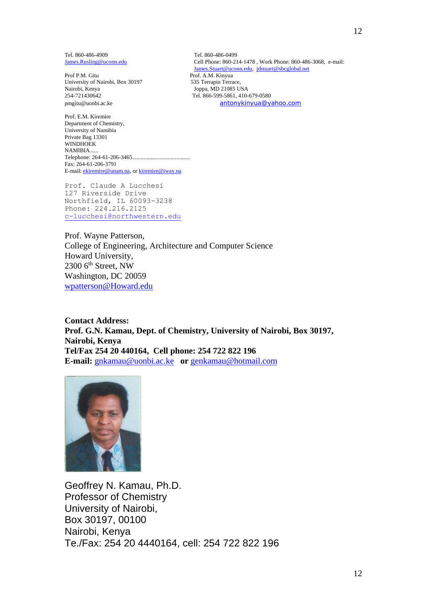Tel. 860-486-4909<br>
James.Rusling@uconn.edu<br>
Cell Phone: 860-21

Prof P.M. Gitu<br>
University of Nairobi, Box 30197<br>
535 Terrapin Terrace, University of Nairobi, Box 30197<br>Nairobi, Kenya Nairobi, Kenya (1986)<br>254-721430642 (1986-699-6861)<br>254-721430642 (1986-699-6861) pmgitu@uonbi.ac.ke [antonykinyua@yahoo.com](mailto:antonykinyua@yahoo.com)

Prof. E.M. Kiremire Department of Chemistry, University of Namibia Private Bag 13301 WINDHOEK NAMIBIA...... Telephone: 264-61-206-3465......................................... Fax: 264-61-206-3791 E-mail[: ekiremire@unam.na,](http://us.mc520.mail.yahoo.com/mc/compose?to=ekiremire@unam.na) o[r kiremire@iway.na](http://us.mc520.mail.yahoo.com/mc/compose?to=kiremire@iway.na)

Prof. Claude A Lucchesi 127 Riverside Drive Northfield, IL 60093-3238 Phone: 224.216.2125 [c-lucchesi@northwestern.edu](mailto:c-lucchesi@northwestern.edu)

Prof. Wayne Patterson, College of Engineering, Architecture and Computer Science Howard University,  $2300$  6<sup>th</sup> Street, NW Washington, DC 20059 [wpatterson@Howard.edu](mailto:wpatterson@Howard.edu)

**Contact Address: Prof. G.N. Kamau, Dept. of Chemistry, University of Nairobi, Box 30197, Nairobi, Kenya Tel/Fax 254 20 440164, Cell phone: 254 722 822 196 E-mail:** [gnkamau@uonbi.ac.ke](mailto:gnkamau@uonbi.ac.ke) **or** [genkamau@hotmail.com](mailto:genkamau@hotmail.com)



Geoffrey N. Kamau, Ph.D. Professor of Chemistry University of Nairobi, Box 30197, 00100 Nairobi, Kenya Te./Fax: 254 20 4440164, cell: 254 722 822 196

Cell Phone: 860-214-1478 , Work Phone: 860-486-3068, e-mail: [James.Stuart@uconn.edu,](http://us.mc520.mail.yahoo.com/mc/compose?to=James.Stuart@uconn.edu) [jdstuart@sbcglobal.net](http://us.mc520.mail.yahoo.com/mc/compose?to=jdstuart@sbcglobal.net) Tel. 866-599-5861, 410-679-0580